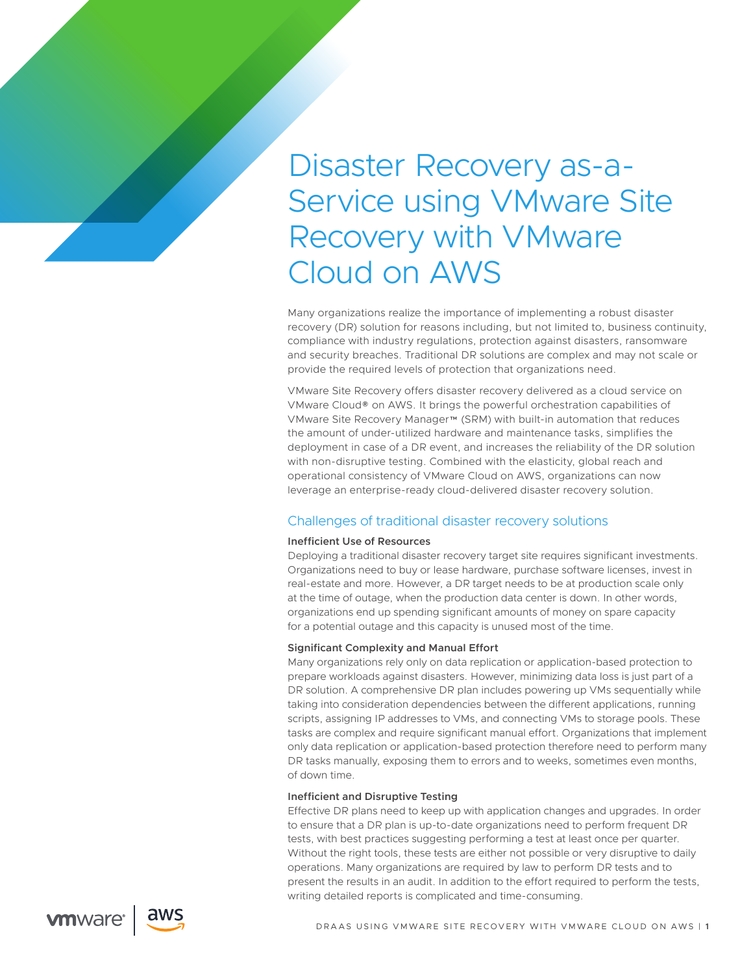# Disaster Recovery as-a-Service using VMware Site Recovery with VMware Cloud on AWS

Many organizations realize the importance of implementing a robust disaster recovery (DR) solution for reasons including, but not limited to, business continuity, compliance with industry regulations, protection against disasters, ransomware and security breaches. Traditional DR solutions are complex and may not scale or provide the required levels of protection that organizations need.

VMware Site Recovery offers disaster recovery delivered as a cloud service on VMware Cloud® on AWS. It brings the powerful orchestration capabilities of VMware Site Recovery Manager™ (SRM) with built-in automation that reduces the amount of under-utilized hardware and maintenance tasks, simplifies the deployment in case of a DR event, and increases the reliability of the DR solution with non-disruptive testing. Combined with the elasticity, global reach and operational consistency of VMware Cloud on AWS, organizations can now leverage an enterprise-ready cloud-delivered disaster recovery solution.

# Challenges of traditional disaster recovery solutions

# **Inefficient Use of Resources**

Deploying a traditional disaster recovery target site requires significant investments. Organizations need to buy or lease hardware, purchase software licenses, invest in real-estate and more. However, a DR target needs to be at production scale only at the time of outage, when the production data center is down. In other words, organizations end up spending significant amounts of money on spare capacity for a potential outage and this capacity is unused most of the time.

# **Significant Complexity and Manual Effort**

Many organizations rely only on data replication or application-based protection to prepare workloads against disasters. However, minimizing data loss is just part of a DR solution. A comprehensive DR plan includes powering up VMs sequentially while taking into consideration dependencies between the different applications, running scripts, assigning IP addresses to VMs, and connecting VMs to storage pools. These tasks are complex and require significant manual effort. Organizations that implement only data replication or application-based protection therefore need to perform many DR tasks manually, exposing them to errors and to weeks, sometimes even months, of down time.

## **Inefficient and Disruptive Testing**

Effective DR plans need to keep up with application changes and upgrades. In order to ensure that a DR plan is up-to-date organizations need to perform frequent DR tests, with best practices suggesting performing a test at least once per quarter. Without the right tools, these tests are either not possible or very disruptive to daily operations. Many organizations are required by law to perform DR tests and to present the results in an audit. In addition to the effort required to perform the tests, writing detailed reports is complicated and time-consuming.



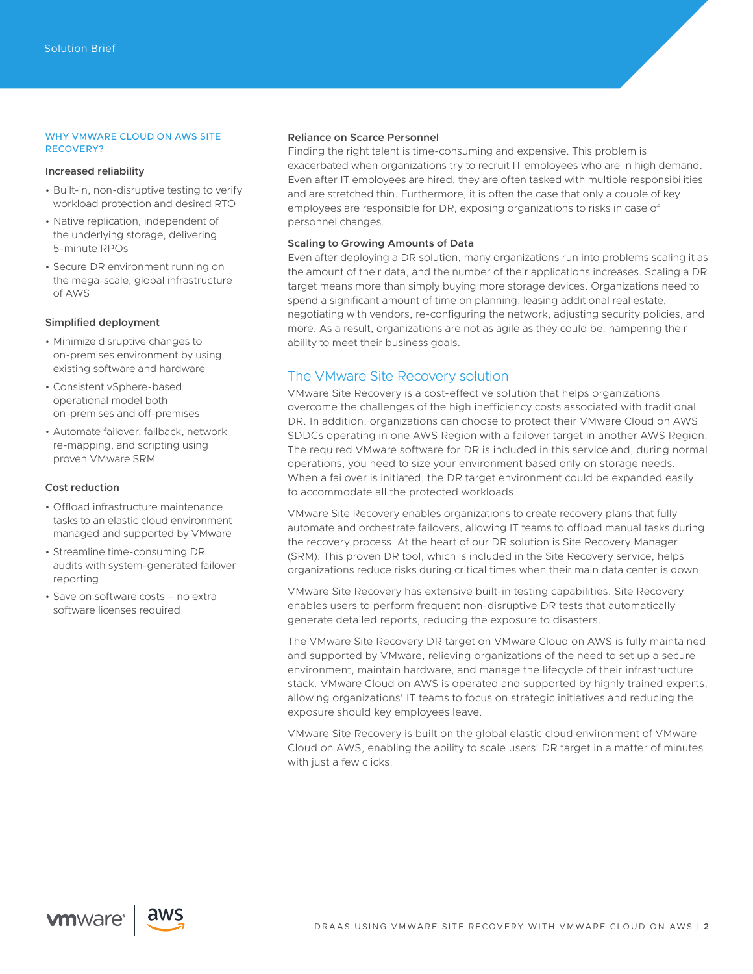## WHY VMWARE CLOUD ON AWS SITE RECOVERY?

## **Increased reliability**

- Built-in, non-disruptive testing to verify workload protection and desired RTO
- Native replication, independent of the underlying storage, delivering 5-minute RPOs
- Secure DR environment running on the mega-scale, global infrastructure of AWS

## **Simplified deployment**

- Minimize disruptive changes to on-premises environment by using existing software and hardware
- Consistent vSphere-based operational model both on-premises and off-premises
- Automate failover, failback, network re-mapping, and scripting using proven VMware SRM

# **Cost reduction**

- Offload infrastructure maintenance tasks to an elastic cloud environment managed and supported by VMware
- Streamline time-consuming DR audits with system-generated failover reporting
- Save on software costs no extra software licenses required

## **Reliance on Scarce Personnel**

Finding the right talent is time-consuming and expensive. This problem is exacerbated when organizations try to recruit IT employees who are in high demand. Even after IT employees are hired, they are often tasked with multiple responsibilities and are stretched thin. Furthermore, it is often the case that only a couple of key employees are responsible for DR, exposing organizations to risks in case of personnel changes.

# **Scaling to Growing Amounts of Data**

Even after deploying a DR solution, many organizations run into problems scaling it as the amount of their data, and the number of their applications increases. Scaling a DR target means more than simply buying more storage devices. Organizations need to spend a significant amount of time on planning, leasing additional real estate, negotiating with vendors, re-configuring the network, adjusting security policies, and more. As a result, organizations are not as agile as they could be, hampering their ability to meet their business goals.

# The VMware Site Recovery solution

VMware Site Recovery is a cost-effective solution that helps organizations overcome the challenges of the high inefficiency costs associated with traditional DR. In addition, organizations can choose to protect their VMware Cloud on AWS SDDCs operating in one AWS Region with a failover target in another AWS Region. The required VMware software for DR is included in this service and, during normal operations, you need to size your environment based only on storage needs. When a failover is initiated, the DR target environment could be expanded easily to accommodate all the protected workloads.

VMware Site Recovery enables organizations to create recovery plans that fully automate and orchestrate failovers, allowing IT teams to offload manual tasks during the recovery process. At the heart of our DR solution is Site Recovery Manager (SRM). This proven DR tool, which is included in the Site Recovery service, helps organizations reduce risks during critical times when their main data center is down.

VMware Site Recovery has extensive built-in testing capabilities. Site Recovery enables users to perform frequent non-disruptive DR tests that automatically generate detailed reports, reducing the exposure to disasters.

The VMware Site Recovery DR target on VMware Cloud on AWS is fully maintained and supported by VMware, relieving organizations of the need to set up a secure environment, maintain hardware, and manage the lifecycle of their infrastructure stack. VMware Cloud on AWS is operated and supported by highly trained experts, allowing organizations' IT teams to focus on strategic initiatives and reducing the exposure should key employees leave.

VMware Site Recovery is built on the global elastic cloud environment of VMware Cloud on AWS, enabling the ability to scale users' DR target in a matter of minutes with just a few clicks.

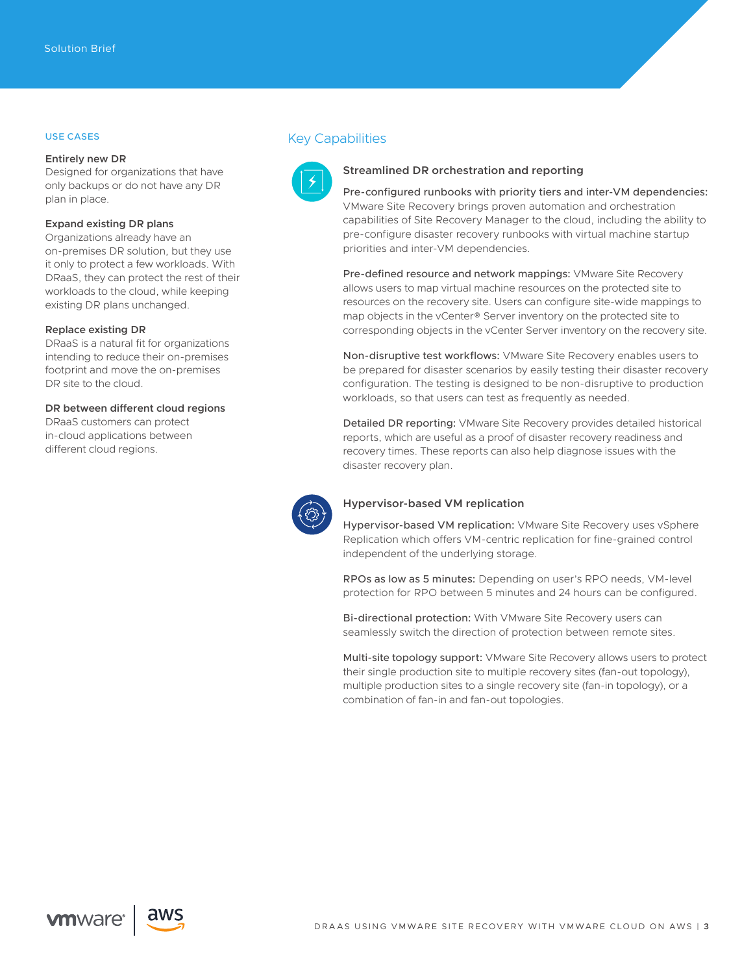# USE CASES

### **Entirely new DR**

Designed for organizations that have only backups or do not have any DR plan in place.

# **Expand existing DR plans**

Organizations already have an on-premises DR solution, but they use it only to protect a few workloads. With DRaaS, they can protect the rest of their workloads to the cloud, while keeping existing DR plans unchanged.

#### **Replace existing DR**

DRaaS is a natural fit for organizations intending to reduce their on-premises footprint and move the on-premises DR site to the cloud.

## **DR between different cloud regions**

DRaaS customers can protect in-cloud applications between different cloud regions.





## **Streamlined DR orchestration and reporting**

Pre-configured runbooks with priority tiers and inter-VM dependencies: VMware Site Recovery brings proven automation and orchestration capabilities of Site Recovery Manager to the cloud, including the ability to pre-configure disaster recovery runbooks with virtual machine startup priorities and inter-VM dependencies.

Pre-defined resource and network mappings: VMware Site Recovery allows users to map virtual machine resources on the protected site to resources on the recovery site. Users can configure site-wide mappings to map objects in the vCenter® Server inventory on the protected site to corresponding objects in the vCenter Server inventory on the recovery site.

Non-disruptive test workflows: VMware Site Recovery enables users to be prepared for disaster scenarios by easily testing their disaster recovery configuration. The testing is designed to be non-disruptive to production workloads, so that users can test as frequently as needed.

Detailed DR reporting: VMware Site Recovery provides detailed historical reports, which are useful as a proof of disaster recovery readiness and recovery times. These reports can also help diagnose issues with the disaster recovery plan.



## **Hypervisor-based VM replication**

Hypervisor-based VM replication: VMware Site Recovery uses vSphere Replication which offers VM-centric replication for fine-grained control independent of the underlying storage.

RPOs as low as 5 minutes: Depending on user's RPO needs, VM-level protection for RPO between 5 minutes and 24 hours can be configured.

Bi-directional protection: With VMware Site Recovery users can seamlessly switch the direction of protection between remote sites.

Multi-site topology support: VMware Site Recovery allows users to protect their single production site to multiple recovery sites (fan-out topology), multiple production sites to a single recovery site (fan-in topology), or a combination of fan-in and fan-out topologies.